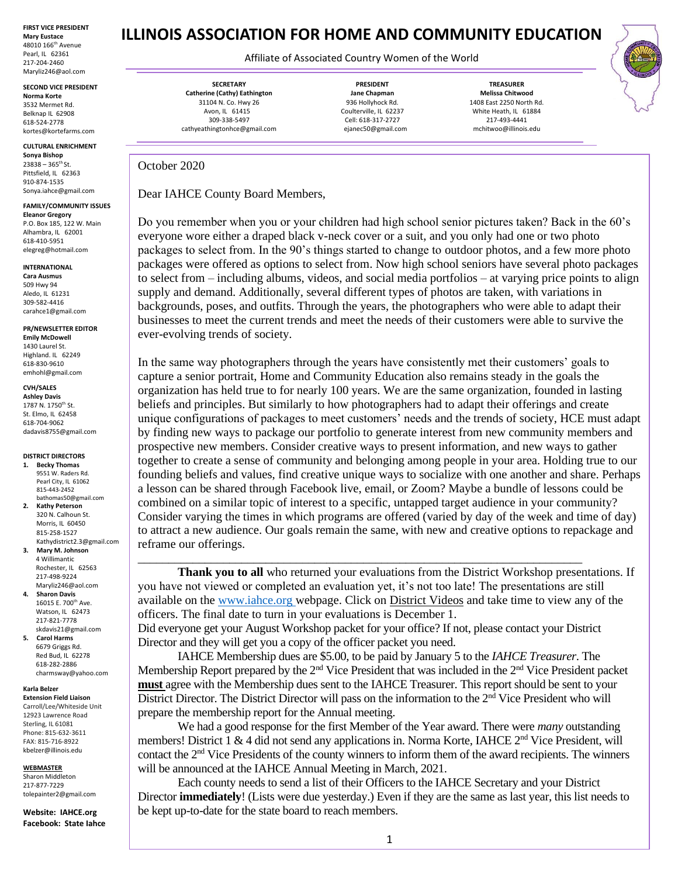**FIRST VICE PRESIDENT Mary Eustace** 48010 166th Avenue Pearl, IL 62361 217-204-2460 Maryliz246@aol.com

**SECOND VICE PRESIDENT**

**Norma Korte** 3532 Mermet Rd. Belknap IL 62908 618-524-2778 kortes@kortefarms.com

**CULTURAL ENRICHMENT Sonya Bishop** 

 $23838 - 365$ <sup>th</sup> St. Pittsfield, IL 62363 910-874-1535 Sonya.iahce@gmail.com

**FAMILY/COMMUNITY ISSUES Eleanor Gregory**

P.O. Box 185, 122 W. Main Alhambra, IL 62001 618-410-5951 elegreg@hotmail.com

### **INTERNATIONAL**

**Cara Ausmus** 509 Hwy 94 Aledo, IL 61231 309-582-4416 [carahce1@gmail.com](mailto:carahce1@gmail.com)

**PR/NEWSLETTER EDITOR Emily McDowell** 1430 Laurel St. Highland. IL 62249 618-830-9610 emhohl@gmail.com

**CVH/SALES**

**Ashley Davis** 1787 N. 1750<sup>th</sup> St. St. Elmo, IL 62458 618-704-9062 dadavis8755@gmail.com

### **DISTRICT DIRECTORS**

- **1. Becky Thomas** 9551 W. Raders Rd. Pearl City, IL 61062 815-443-2452 bathomas50@gmail.com
- **2. Kathy Peterson** 320 N. Calhoun St. Morris, IL 60450 815-258-1527 Kathydistrict2.3@gmail.com
- **3. Mary M. Johnson** 4 Willimantic Rochester, IL 62563 217-498-9224 Maryliz246@aol.com **4. Sharon Davis** 16015 E. 700<sup>th</sup> Ave.
- Watson, IL 62473 217-821-7778 skdavis21@gmail.com **5. Carol Harms**
- 6679 Griggs Rd. Red Bud, IL 62278 618-282-2886 charmsway@yahoo.com

#### **Karla Belzer Extension Field Liaison**

Carroll/Lee/Whiteside Unit 12923 Lawrence Road Sterling, IL 61081 Phone: 815-632-3611

FAX: 815-716-8922 [kbelzer@illinois.edu](http://web.extension.illinois.edu/state/contactus.cfm?StaffID=2719)

### **WEBMASTER** Sharon Middleton

217-877-7229 [tolepainter2@gmail.com](mailto:tolepainter2@gmail.com)

**Website: IAHCE.org Facebook: State Iahce**

# **ILLINOIS ASSOCIATION FOR HOME AND COMMUNITY EDUCATION**

## Affiliate of Associated Country Women of the World

**SECRETARY Catherine (Cathy) Eathington** 31104 N. Co. Hwy 26 Avon, IL 61415 309-338-5497 cathyeathingtonhce@gmail.com

**PRESIDENT Jane Chapman** 936 Hollyhock Rd. Coulterville, IL 62237 Cell: 618-317-2727 ejanec50@gmail.com

**TREASURER Melissa Chitwood** 1408 East 2250 North Rd. White Heath, IL 61884 217-493-4441 mchitwoo@illinois.edu

October 2020

Dear IAHCE County Board Members,

Do you remember when you or your children had high school senior pictures taken? Back in the 60's everyone wore either a draped black v-neck cover or a suit, and you only had one or two photo packages to select from. In the 90's things started to change to outdoor photos, and a few more photo packages were offered as options to select from. Now high school seniors have several photo packages to select from – including albums, videos, and social media portfolios – at varying price points to align supply and demand. Additionally, several different types of photos are taken, with variations in backgrounds, poses, and outfits. Through the years, the photographers who were able to adapt their businesses to meet the current trends and meet the needs of their customers were able to survive the ever-evolving trends of society.

In the same way photographers through the years have consistently met their customers' goals to capture a senior portrait, Home and Community Education also remains steady in the goals the organization has held true to for nearly 100 years. We are the same organization, founded in lasting beliefs and principles. But similarly to how photographers had to adapt their offerings and create unique configurations of packages to meet customers' needs and the trends of society, HCE must adapt by finding new ways to package our portfolio to generate interest from new community members and prospective new members. Consider creative ways to present information, and new ways to gather together to create a sense of community and belonging among people in your area. Holding true to our founding beliefs and values, find creative unique ways to socialize with one another and share. Perhaps a lesson can be shared through Facebook live, email, or Zoom? Maybe a bundle of lessons could be combined on a similar topic of interest to a specific, untapped target audience in your community? Consider varying the times in which programs are offered (varied by day of the week and time of day) to attract a new audience. Our goals remain the same, with new and creative options to repackage and reframe our offerings.

**Thank you to all** who returned your evaluations from the District Workshop presentations. If you have not viewed or completed an evaluation yet, it's not too late! The presentations are still available on the [www.iahce.org](http://www.iahce.org/) webpage. Click on District Videos and take time to view any of the officers. The final date to turn in your evaluations is December 1.

Did everyone get your August Workshop packet for your office? If not, please contact your District Director and they will get you a copy of the officer packet you need.

\_\_\_\_\_\_\_\_\_\_\_\_\_\_\_\_\_\_\_\_\_\_\_\_\_\_\_\_\_\_\_\_\_\_\_\_\_\_\_\_\_\_\_\_\_\_\_\_\_\_\_\_\_\_\_\_\_\_\_\_\_\_\_\_\_\_\_\_\_\_\_\_\_

IAHCE Membership dues are \$5.00, to be paid by January 5 to the *IAHCE Treasurer*. The Membership Report prepared by the 2<sup>nd</sup> Vice President that was included in the 2<sup>nd</sup> Vice President packet **must** agree with the Membership dues sent to the IAHCE Treasurer. This report should be sent to your District Director. The District Director will pass on the information to the 2<sup>nd</sup> Vice President who will prepare the membership report for the Annual meeting.

We had a good response for the first Member of the Year award. There were *many* outstanding members! District 1 & 4 did not send any applications in. Norma Korte, IAHCE  $2<sup>nd</sup>$  Vice President, will contact the 2nd Vice Presidents of the county winners to inform them of the award recipients. The winners will be announced at the IAHCE Annual Meeting in March, 2021.

Each county needs to send a list of their Officers to the IAHCE Secretary and your District Director **immediately**! (Lists were due yesterday.) Even if they are the same as last year, this list needs to be kept up-to-date for the state board to reach members.